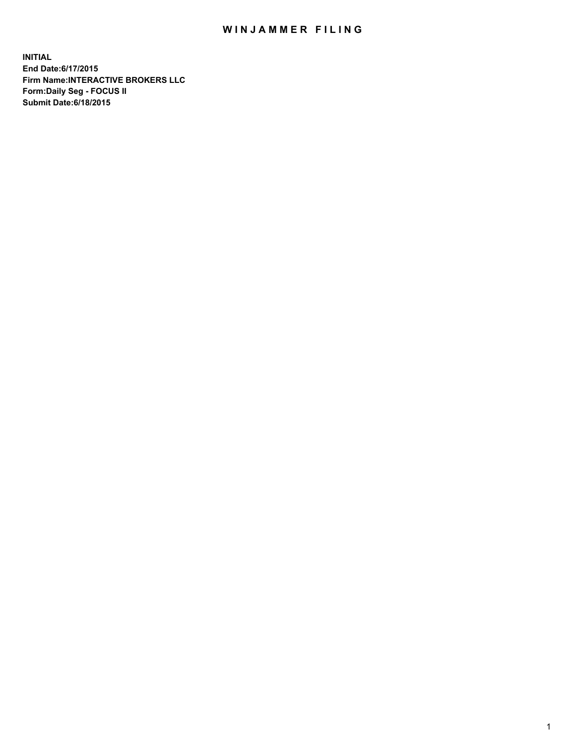## WIN JAMMER FILING

**INITIAL End Date:6/17/2015 Firm Name:INTERACTIVE BROKERS LLC Form:Daily Seg - FOCUS II Submit Date:6/18/2015**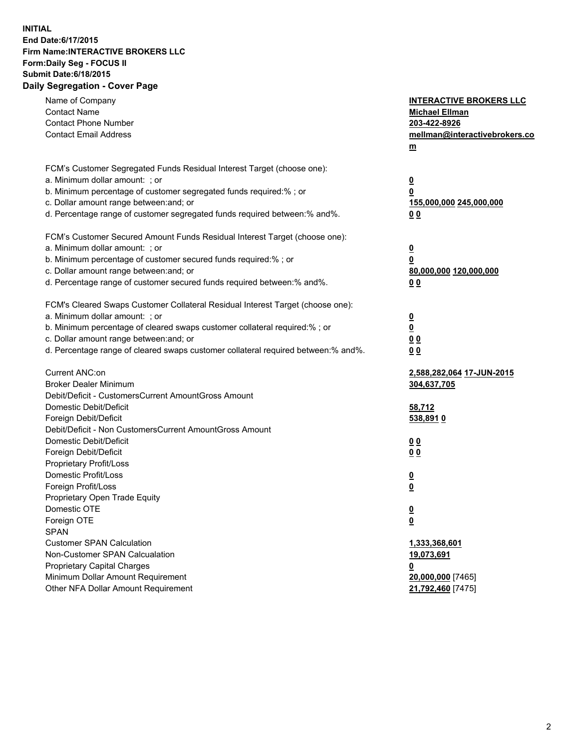## **INITIAL End Date:6/17/2015 Firm Name:INTERACTIVE BROKERS LLC Form:Daily Seg - FOCUS II Submit Date:6/18/2015 Daily Segregation - Cover Page**

| Name of Company<br><b>Contact Name</b><br><b>Contact Phone Number</b><br><b>Contact Email Address</b>    | <b>INTERACTIVE BROKERS LLC</b><br><b>Michael Ellman</b><br>203-422-8926<br>mellman@interactivebrokers.co<br>$m$ |
|----------------------------------------------------------------------------------------------------------|-----------------------------------------------------------------------------------------------------------------|
| FCM's Customer Segregated Funds Residual Interest Target (choose one):<br>a. Minimum dollar amount: ; or | $\overline{\mathbf{0}}$                                                                                         |
| b. Minimum percentage of customer segregated funds required:% ; or                                       | 0                                                                                                               |
| c. Dollar amount range between: and; or                                                                  | 155,000,000 245,000,000                                                                                         |
| d. Percentage range of customer segregated funds required between:% and%.                                | 0 <sub>0</sub>                                                                                                  |
| FCM's Customer Secured Amount Funds Residual Interest Target (choose one):                               |                                                                                                                 |
| a. Minimum dollar amount: ; or                                                                           | $\overline{\mathbf{0}}$                                                                                         |
| b. Minimum percentage of customer secured funds required:% ; or                                          | 0                                                                                                               |
| c. Dollar amount range between: and; or                                                                  | 80,000,000 120,000,000                                                                                          |
| d. Percentage range of customer secured funds required between:% and%.                                   | 0 <sub>0</sub>                                                                                                  |
| FCM's Cleared Swaps Customer Collateral Residual Interest Target (choose one):                           |                                                                                                                 |
| a. Minimum dollar amount: ; or                                                                           | $\overline{\mathbf{0}}$                                                                                         |
| b. Minimum percentage of cleared swaps customer collateral required:% ; or                               | $\underline{\mathbf{0}}$                                                                                        |
| c. Dollar amount range between: and; or                                                                  | 0 <sub>0</sub>                                                                                                  |
| d. Percentage range of cleared swaps customer collateral required between:% and%.                        | 0 <sub>0</sub>                                                                                                  |
| Current ANC:on                                                                                           | 2,588,282,064 17-JUN-2015                                                                                       |
| <b>Broker Dealer Minimum</b>                                                                             | 304,637,705                                                                                                     |
| Debit/Deficit - CustomersCurrent AmountGross Amount                                                      |                                                                                                                 |
| Domestic Debit/Deficit                                                                                   | 58,712                                                                                                          |
| Foreign Debit/Deficit                                                                                    | 538,8910                                                                                                        |
| Debit/Deficit - Non CustomersCurrent AmountGross Amount                                                  |                                                                                                                 |
| Domestic Debit/Deficit                                                                                   | 0 <sub>0</sub>                                                                                                  |
| Foreign Debit/Deficit<br>Proprietary Profit/Loss                                                         | 0 <sub>0</sub>                                                                                                  |
| Domestic Profit/Loss                                                                                     |                                                                                                                 |
| Foreign Profit/Loss                                                                                      | $\overline{\mathbf{0}}$<br>$\underline{\mathbf{0}}$                                                             |
| Proprietary Open Trade Equity                                                                            |                                                                                                                 |
| Domestic OTE                                                                                             | <u>0</u>                                                                                                        |
| Foreign OTE                                                                                              | <u>0</u>                                                                                                        |
| <b>SPAN</b>                                                                                              |                                                                                                                 |
| <b>Customer SPAN Calculation</b>                                                                         | 1,333,368,601                                                                                                   |
| Non-Customer SPAN Calcualation                                                                           | 19,073,691                                                                                                      |
| Proprietary Capital Charges                                                                              | <u>0</u>                                                                                                        |
| Minimum Dollar Amount Requirement                                                                        | 20,000,000 [7465]                                                                                               |
| Other NFA Dollar Amount Requirement                                                                      | 21,792,460 [7475]                                                                                               |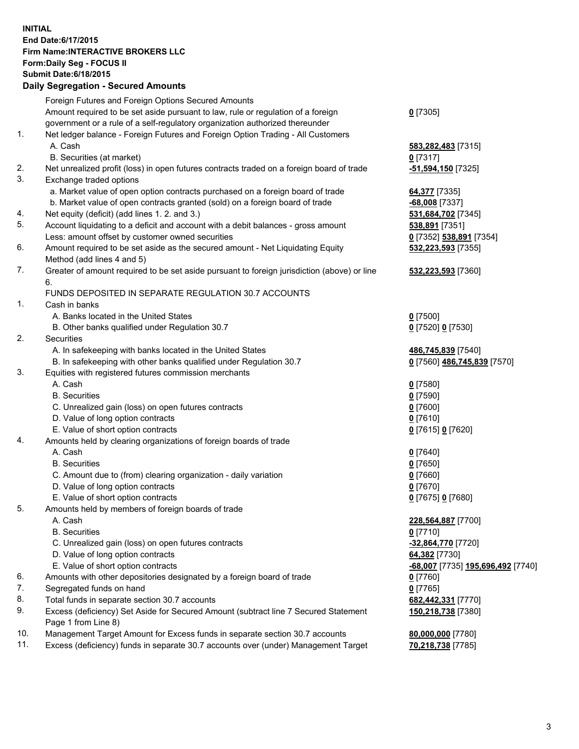## **INITIAL End Date:6/17/2015 Firm Name:INTERACTIVE BROKERS LLC Form:Daily Seg - FOCUS II Submit Date:6/18/2015 Daily Segregation - Secured Amounts**

|     | Daily Segregation - Secured Amounts                                                         |                                   |
|-----|---------------------------------------------------------------------------------------------|-----------------------------------|
|     | Foreign Futures and Foreign Options Secured Amounts                                         |                                   |
|     | Amount required to be set aside pursuant to law, rule or regulation of a foreign            | $0$ [7305]                        |
|     | government or a rule of a self-regulatory organization authorized thereunder                |                                   |
| 1.  | Net ledger balance - Foreign Futures and Foreign Option Trading - All Customers             |                                   |
|     | A. Cash                                                                                     | 583,282,483 [7315]                |
|     | B. Securities (at market)                                                                   | $0$ [7317]                        |
| 2.  | Net unrealized profit (loss) in open futures contracts traded on a foreign board of trade   | -51,594,150 [7325]                |
| 3.  | Exchange traded options                                                                     |                                   |
|     | a. Market value of open option contracts purchased on a foreign board of trade              | 64,377 [7335]                     |
|     | b. Market value of open contracts granted (sold) on a foreign board of trade                | $-68,008$ [7337]                  |
| 4.  | Net equity (deficit) (add lines 1.2. and 3.)                                                | 531,684,702 [7345]                |
| 5.  | Account liquidating to a deficit and account with a debit balances - gross amount           | 538,891 [7351]                    |
|     | Less: amount offset by customer owned securities                                            | 0 [7352] 538,891 [7354]           |
| 6.  | Amount required to be set aside as the secured amount - Net Liquidating Equity              | 532,223,593 [7355]                |
|     | Method (add lines 4 and 5)                                                                  |                                   |
| 7.  | Greater of amount required to be set aside pursuant to foreign jurisdiction (above) or line | 532,223,593 [7360]                |
|     | 6.                                                                                          |                                   |
|     | FUNDS DEPOSITED IN SEPARATE REGULATION 30.7 ACCOUNTS                                        |                                   |
| 1.  | Cash in banks                                                                               |                                   |
|     | A. Banks located in the United States                                                       | $0$ [7500]                        |
|     | B. Other banks qualified under Regulation 30.7                                              | 0 [7520] 0 [7530]                 |
| 2.  | Securities                                                                                  |                                   |
|     | A. In safekeeping with banks located in the United States                                   | 486,745,839 [7540]                |
|     | B. In safekeeping with other banks qualified under Regulation 30.7                          | 0 [7560] 486,745,839 [7570]       |
| 3.  | Equities with registered futures commission merchants                                       |                                   |
|     | A. Cash                                                                                     | $0$ [7580]                        |
|     | <b>B.</b> Securities                                                                        | $0$ [7590]                        |
|     | C. Unrealized gain (loss) on open futures contracts                                         | $0$ [7600]                        |
|     | D. Value of long option contracts                                                           | $0$ [7610]                        |
|     | E. Value of short option contracts                                                          | 0 [7615] 0 [7620]                 |
| 4.  | Amounts held by clearing organizations of foreign boards of trade                           |                                   |
|     | A. Cash                                                                                     | $0$ [7640]                        |
|     | <b>B.</b> Securities                                                                        | $0$ [7650]                        |
|     | C. Amount due to (from) clearing organization - daily variation                             | $0$ [7660]                        |
|     | D. Value of long option contracts                                                           | $0$ [7670]                        |
|     | E. Value of short option contracts                                                          | 0 [7675] 0 [7680]                 |
| 5.  | Amounts held by members of foreign boards of trade                                          |                                   |
|     | A. Cash                                                                                     | 228,564,887 [7700]                |
|     | <b>B.</b> Securities                                                                        | $0$ [7710]                        |
|     | C. Unrealized gain (loss) on open futures contracts                                         | -32,864,770 [7720]                |
|     | D. Value of long option contracts                                                           | 64,382 [7730]                     |
|     | E. Value of short option contracts                                                          | -68,007 [7735] 195,696,492 [7740] |
| 6.  | Amounts with other depositories designated by a foreign board of trade                      | 0 [7760]                          |
| 7.  | Segregated funds on hand                                                                    | $0$ [7765]                        |
| 8.  | Total funds in separate section 30.7 accounts                                               | 682,442,331 [7770]                |
| 9.  | Excess (deficiency) Set Aside for Secured Amount (subtract line 7 Secured Statement         | 150,218,738 [7380]                |
|     | Page 1 from Line 8)                                                                         |                                   |
| 10. | Management Target Amount for Excess funds in separate section 30.7 accounts                 | 80,000,000 [7780]                 |
| 11. | Excess (deficiency) funds in separate 30.7 accounts over (under) Management Target          | 70,218,738 [7785]                 |
|     |                                                                                             |                                   |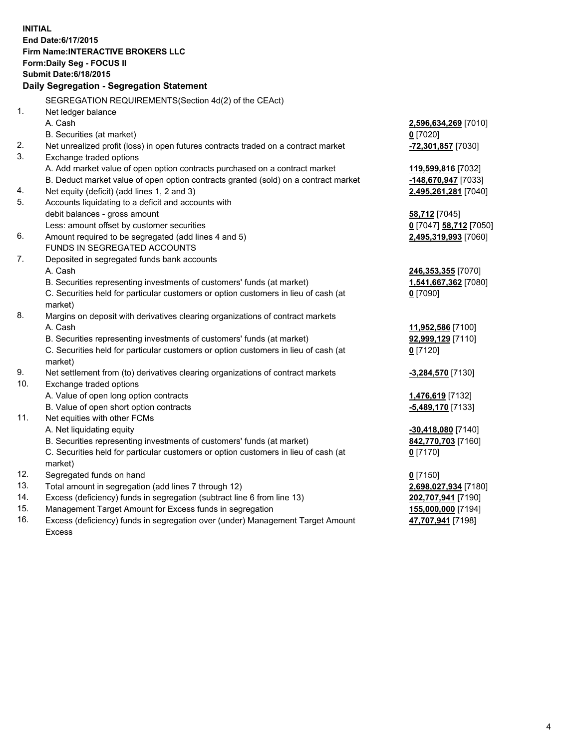**INITIAL End Date:6/17/2015 Firm Name:INTERACTIVE BROKERS LLC Form:Daily Seg - FOCUS II Submit Date:6/18/2015 Daily Segregation - Segregation Statement** SEGREGATION REQUIREMENTS(Section 4d(2) of the CEAct) 1. Net ledger balance A. Cash **2,596,634,269** [7010] B. Securities (at market) **0** [7020] 2. Net unrealized profit (loss) in open futures contracts traded on a contract market **-72,301,857** [7030] 3. Exchange traded options A. Add market value of open option contracts purchased on a contract market **119,599,816** [7032] B. Deduct market value of open option contracts granted (sold) on a contract market **-148,670,947** [7033] 4. Net equity (deficit) (add lines 1, 2 and 3) **2,495,261,281** [7040] 5. Accounts liquidating to a deficit and accounts with debit balances - gross amount **58,712** [7045] Less: amount offset by customer securities **0** [7047] **58,712** [7050] 6. Amount required to be segregated (add lines 4 and 5) **2,495,319,993** [7060] FUNDS IN SEGREGATED ACCOUNTS 7. Deposited in segregated funds bank accounts A. Cash **246,353,355** [7070] B. Securities representing investments of customers' funds (at market) **1,541,667,362** [7080] C. Securities held for particular customers or option customers in lieu of cash (at market) **0** [7090] 8. Margins on deposit with derivatives clearing organizations of contract markets A. Cash **11,952,586** [7100] B. Securities representing investments of customers' funds (at market) **92,999,129** [7110] C. Securities held for particular customers or option customers in lieu of cash (at market) **0** [7120] 9. Net settlement from (to) derivatives clearing organizations of contract markets **-3,284,570** [7130] 10. Exchange traded options A. Value of open long option contracts **1,476,619** [7132] B. Value of open short option contracts **-5,489,170** [7133] 11. Net equities with other FCMs A. Net liquidating equity **-30,418,080** [7140] B. Securities representing investments of customers' funds (at market) **842,770,703** [7160] C. Securities held for particular customers or option customers in lieu of cash (at market) **0** [7170] 12. Segregated funds on hand **0** [7150] 13. Total amount in segregation (add lines 7 through 12) **2,698,027,934** [7180] 14. Excess (deficiency) funds in segregation (subtract line 6 from line 13) **202,707,941** [7190] 15. Management Target Amount for Excess funds in segregation **155,000,000** [7194]

16. Excess (deficiency) funds in segregation over (under) Management Target Amount Excess

**47,707,941** [7198]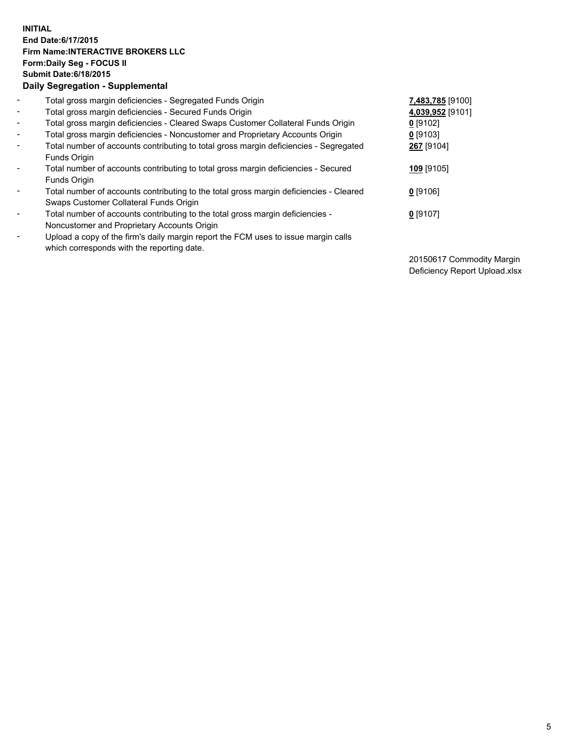## **INITIAL End Date:6/17/2015 Firm Name:INTERACTIVE BROKERS LLC Form:Daily Seg - FOCUS II Submit Date:6/18/2015 Daily Segregation - Supplemental**

| $\blacksquare$           | Total gross margin deficiencies - Segregated Funds Origin                                                                        | 7,483,785 [9100] |
|--------------------------|----------------------------------------------------------------------------------------------------------------------------------|------------------|
| $\blacksquare$           | Total gross margin deficiencies - Secured Funds Origin                                                                           | 4,039,952 [9101] |
| $\blacksquare$           | Total gross margin deficiencies - Cleared Swaps Customer Collateral Funds Origin                                                 | $0$ [9102]       |
| $\blacksquare$           | Total gross margin deficiencies - Noncustomer and Proprietary Accounts Origin                                                    | $0$ [9103]       |
| $\blacksquare$           | Total number of accounts contributing to total gross margin deficiencies - Segregated<br>Funds Origin                            | 267 [9104]       |
| $\blacksquare$           | Total number of accounts contributing to total gross margin deficiencies - Secured<br>Funds Origin                               | 109 [9105]       |
| $\overline{\phantom{a}}$ | Total number of accounts contributing to the total gross margin deficiencies - Cleared<br>Swaps Customer Collateral Funds Origin | $0$ [9106]       |
| $\blacksquare$           | Total number of accounts contributing to the total gross margin deficiencies -                                                   | $0$ [9107]       |
|                          | Noncustomer and Proprietary Accounts Origin                                                                                      |                  |
| -                        | Upload a copy of the firm's daily margin report the FCM uses to issue margin calls<br>which corresponds with the reporting date. |                  |

20150617 Commodity Margin Deficiency Report Upload.xlsx